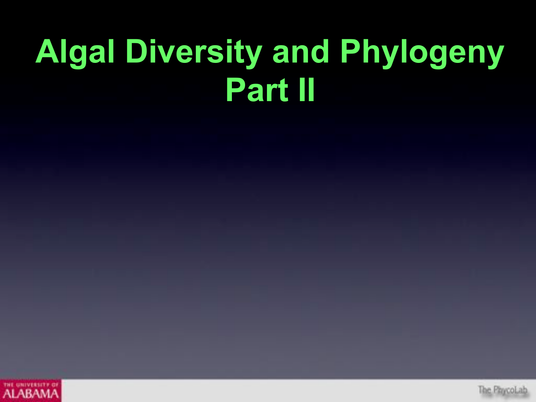# **Algal Diversity and Phylogeny Part II**



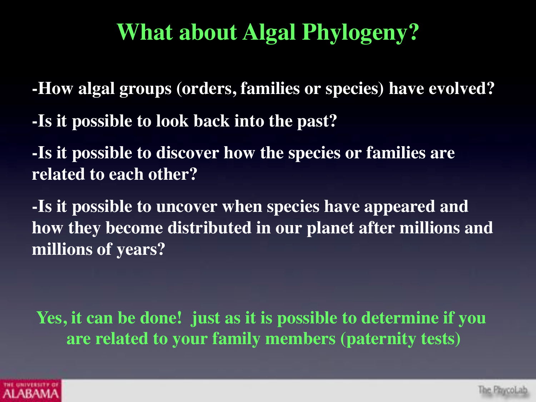# **What about Algal Phylogeny?**

**-How algal groups (orders, families or species) have evolved?**

**-Is it possible to look back into the past?**

**-Is it possible to discover how the species or families are related to each other?**

**-Is it possible to uncover when species have appeared and how they become distributed in our planet after millions and millions of years?**

**Yes, it can be done! just as it is possible to determine if you are related to your family members (paternity tests)**

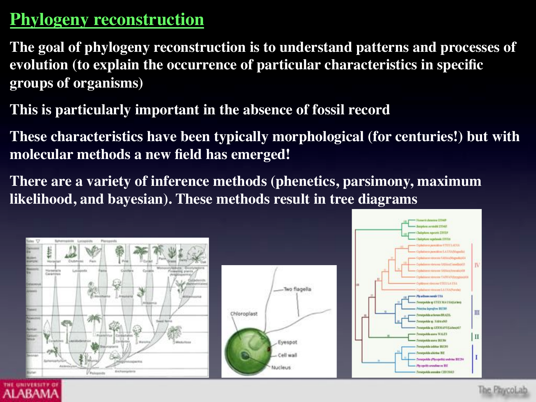#### **Phylogeny reconstruction**

**ALABAN** 

**The goal of phylogeny reconstruction is to understand patterns and processes of evolution (to explain the occurrence of particular characteristics in specific groups of organisms)**

**This is particularly important in the absence of fossil record**

**These characteristics have been typically morphological (for centuries!) but with molecular methods a new field has emerged!**

**There are a variety of inference methods (phenetics, parsimony, maximum likelihood, and bayesian). These methods result in tree diagrams**



The PhycoLab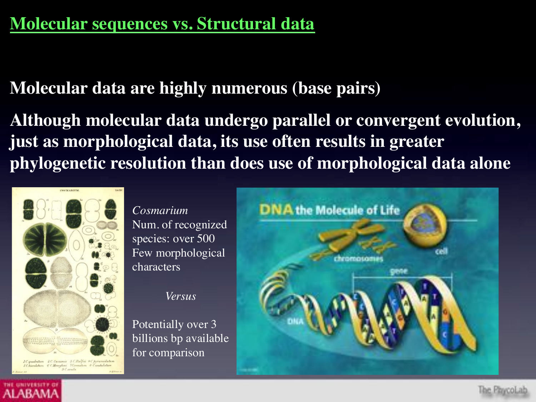#### **Molecular sequences vs. Structural data**

**Molecular data are highly numerous (base pairs)**

**Although molecular data undergo parallel or convergent evolution, just as morphological data, its use often results in greater phylogenetic resolution than does use of morphological data alone**



AI ABAM

*Cosmarium* Num. of recognized species: over 500 Few morphological characters

*Versus*

Potentially over 3 billions bp available for comparison

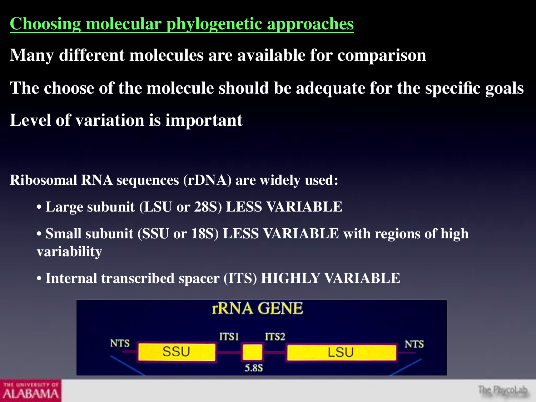**Choosing molecular phylogenetic approaches**

- **Many different molecules are available for comparison**
- **The choose of the molecule should be adequate for the specific goals Level of variation is important**

**Ribosomal RNA sequences (rDNA) are widely used:**

• **Large subunit (LSU or 28S) LESS VARIABLE**

• **Small subunit (SSU or 18S) LESS VARIABLE with regions of high variability**

• **Internal transcribed spacer (ITS) HIGHLY VARIABLE**



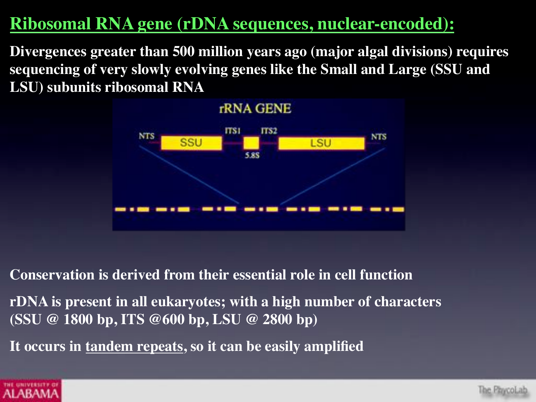#### **Ribosomal RNA gene (rDNA sequences, nuclear-encoded):**

**Divergences greater than 500 million years ago (major algal divisions) requires sequencing of very slowly evolving genes like the Small and Large (SSU and LSU) subunits ribosomal RNA**



**Conservation is derived from their essential role in cell function**

**rDNA is present in all eukaryotes; with a high number of characters (SSU @ 1800 bp, ITS @600 bp, LSU @ 2800 bp)**

**It occurs in tandem repeats, so it can be easily amplified**



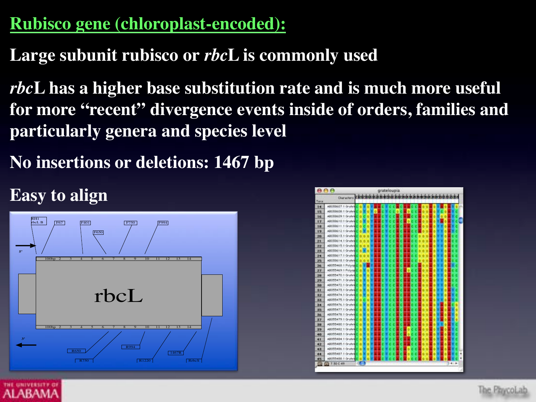## **Rubisco gene (chloroplast-encoded):**

## **Large subunit rubisco or** *rbc***L is commonly used**

*rbc***L has a higher base substitution rate and is much more useful for more "recent" divergence events inside of orders, families and particularly genera and species level**

**No insertions or deletions: 1467 bp**

#### **Easy to align**



|           | 800                  | grateloupia       |  |
|-----------|----------------------|-------------------|--|
|           | <b>Characters</b>    | 2 0 10 11 13      |  |
| Taxes     |                      |                   |  |
| 14        | ABORBAGT 1 Gruteli   | n<br>٠            |  |
| 15        | ABCRINGS 1 Grates    | α<br>n            |  |
| 16        | ABCEB609.1 Grately   | a<br>٠            |  |
| <b>ET</b> | ABORBETO 1 Gratel    | a                 |  |
| 18        | ABOBBE11.1 Gratel    | a<br>۳            |  |
| 19        | ABCIBINET2.1 Grately | d.                |  |
| 20        | ABDBB613.1 Gratel    | $\alpha$ $\alpha$ |  |
| 21        | ABOBBET-4.1 Gruteb   | ۵ï<br>n           |  |
| 22        | ABOBB615.1 Gratel    | 0.0<br>٠          |  |
| 28        | ABOBB616.1 Gratel    | ۵l                |  |
| 24        | ABOBB617.1 Gruteb    | a.<br>٠           |  |
| 25        | AB050618.1 Grate6    | ä<br>۰            |  |
| 26        | AB055468.1 Polyop    | ń                 |  |
| 2T        | AB055469.1 Polyop    | ä                 |  |
| 28        | AB055470.1 Gratel    | a                 |  |
| 29        | AB055471.1 Gratel    | ă                 |  |
| 30        | AB055472.1 Gratel    | ă                 |  |
| 洋生        | AB055473.1 Gratel    | ă                 |  |
| 32        | AB055474.1 Grutel    | α                 |  |
| <b>XX</b> | AB055475.1 Gratel    | ă                 |  |
| 34        | AB055476.1 Gratel    | ď                 |  |
| 35        | AB055477.1 Oratel    | a<br>ъ<br>α       |  |
| 36        | AB055478.1 Oratel    | a<br>٠<br>ь       |  |
| 37        | AB055479.1 Gratel    | a<br>Ð<br>ь       |  |
| 36        | AB055450.1 Oratel    | a<br>G B          |  |
| 39        | AB055482.1 Gratel    | a<br>6 6          |  |
| 40        | AB055483.1 Oratel    | ä<br>6. 6<br>۵    |  |
| 41        | AB055484.1 Gratel    | a<br>6 6<br>۵     |  |
| 42        | AB055485.1 Grutel    | a<br>616<br>ь     |  |
| 43        | AB055486.1 Or yled   | ď<br>ъ<br>a       |  |
| 44        | AB055487<br>1 Oratel | σ                 |  |
| 45        | AB055488.1 Or view   | a.                |  |
| 雷         | T30 C49<br>жŤ        | $3 - 1 - 1$       |  |

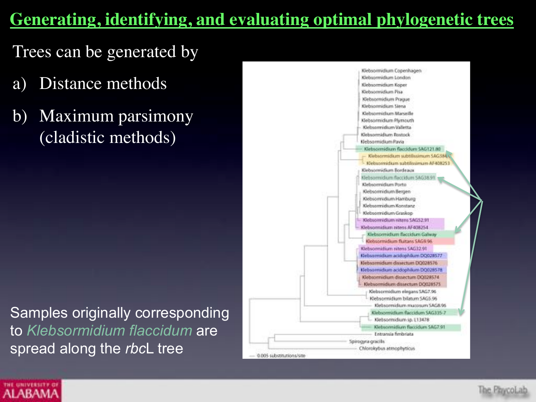#### **Generating, identifying, and evaluating optimal phylogenetic trees**

Trees can be generated by

- a) Distance methods
- b) Maximum parsimony (cladistic methods)

Samples originally corresponding to *Klebsormidium flaccidum* are spread along the *rbc*L tree





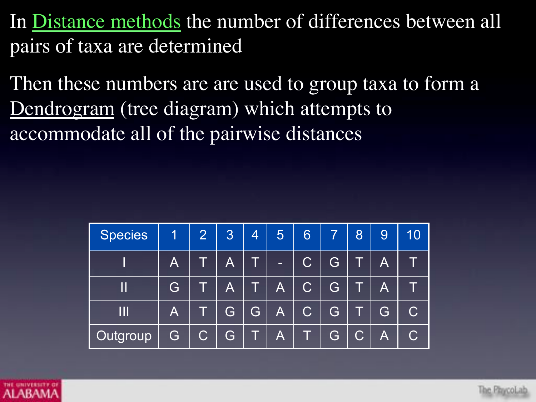In Distance methods the number of differences between all pairs of taxa are determined

Then these numbers are are used to group taxa to form a Dendrogram (tree diagram) which attempts to accommodate all of the pairwise distances

| <b>Species</b> | 1                       | $\overline{2}$ | 3 | $\overline{4}$ | 5                       | 6              | $\overline{7}$ | 8 | 9                       | 10 |
|----------------|-------------------------|----------------|---|----------------|-------------------------|----------------|----------------|---|-------------------------|----|
|                | $\overline{\mathsf{A}}$ | Т              | A |                | -                       | $\mathsf C$    | G              |   | A                       |    |
|                | G                       |                | A |                | $\overline{\mathsf{A}}$ | C              | G              |   | A                       |    |
|                | $\overline{\mathsf{A}}$ |                | G | G,             | $\overline{\mathsf{A}}$ | $\overline{C}$ | G              |   | G                       |    |
| Outgroup       | G                       |                | G |                | А                       |                | G              |   | $\overline{\mathsf{A}}$ |    |

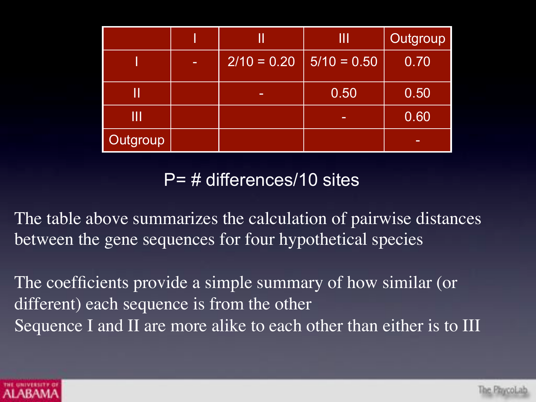|          |   |               | Ш             | <b>Outgroup</b> |  |  |
|----------|---|---------------|---------------|-----------------|--|--|
|          | - | $2/10 = 0.20$ | $5/10 = 0.50$ | 0.70            |  |  |
|          |   | -             | 0.50          | 0.50            |  |  |
| Ш        |   |               | -             | 0.60            |  |  |
| Outgroup |   |               |               | -               |  |  |

P= # differences/10 sites

The table above summarizes the calculation of pairwise distances between the gene sequences for four hypothetical species

The coefficients provide a simple summary of how similar (or different) each sequence is from the other Sequence I and II are more alike to each other than either is to III

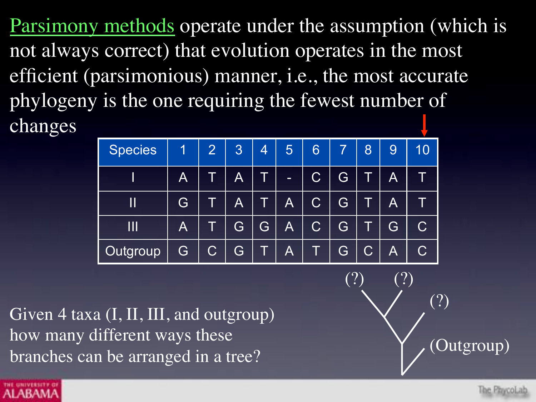Parsimony methods operate under the assumption (which is not always correct) that evolution operates in the most efficient (parsimonious) manner, i.e., the most accurate phylogeny is the one requiring the fewest number of changes

| <b>Species</b> | 1              | $\overline{2}$        | 3                       | 4 | 5                       | 6                       |   | 8                       | 9                       | 10 |
|----------------|----------------|-----------------------|-------------------------|---|-------------------------|-------------------------|---|-------------------------|-------------------------|----|
|                | $\overline{A}$ |                       | $\overline{\mathsf{A}}$ |   | -                       | $\overline{\mathsf{C}}$ | G |                         | A                       |    |
| Ш              | G              |                       | $\overline{\mathsf{A}}$ |   | $\overline{\mathsf{A}}$ | $\overline{\mathsf{C}}$ | G |                         | A                       |    |
| Ш              | $\mathsf{A}$   |                       | G                       | G | $\overline{\mathsf{A}}$ | $\overline{\mathsf{C}}$ | G |                         | G                       | C  |
| Outgroup       | G              | $\overline{\text{C}}$ | G                       |   | $\overline{\mathsf{A}}$ |                         | G | $\overline{\mathbf{C}}$ | $\overline{\mathsf{A}}$ |    |

Given 4 taxa (I, II, III, and outgroup) how many different ways these branches can be arranged in a tree?



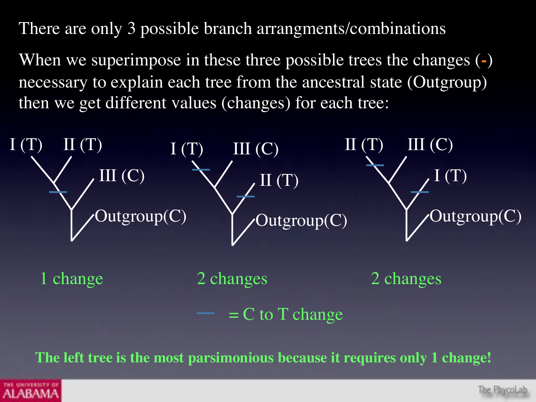There are only 3 possible branch arrangments/combinations

When we superimpose in these three possible trees the changes (**-**) necessary to explain each tree from the ancestral state (Outgroup) then we get different values (changes) for each tree:



**The left tree is the most parsimonious because it requires only 1 change!**



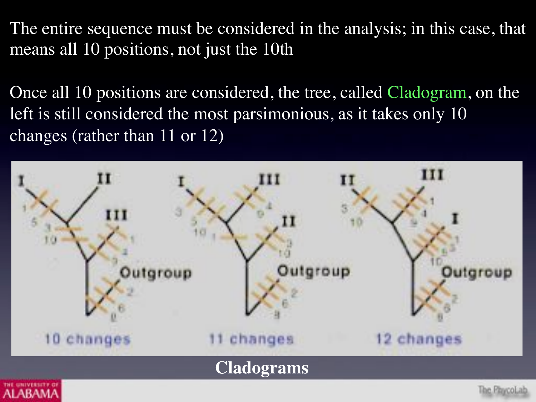The entire sequence must be considered in the analysis; in this case, that means all 10 positions, not just the 10th

Once all 10 positions are considered, the tree, called Cladogram, on the left is still considered the most parsimonious, as it takes only 10 changes (rather than 11 or 12)

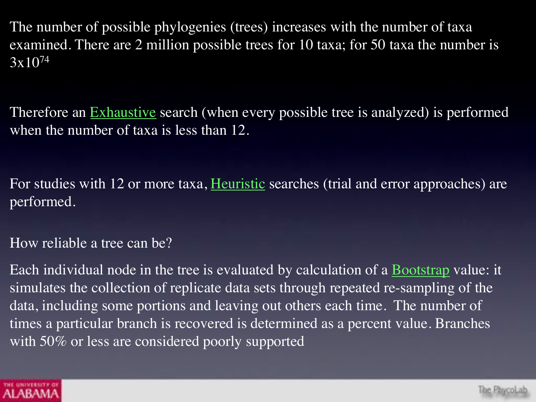The number of possible phylogenies (trees) increases with the number of taxa examined. There are 2 million possible trees for 10 taxa; for 50 taxa the number is 3x1074

Therefore an **Exhaustive** search (when every possible tree is analyzed) is performed when the number of taxa is less than 12.

For studies with 12 or more taxa, Heuristic searches (trial and error approaches) are performed.

How reliable a tree can be?

Each individual node in the tree is evaluated by calculation of a Bootstrap value: it simulates the collection of replicate data sets through repeated re-sampling of the data, including some portions and leaving out others each time. The number of times a particular branch is recovered is determined as a percent value. Branches with 50% or less are considered poorly supported

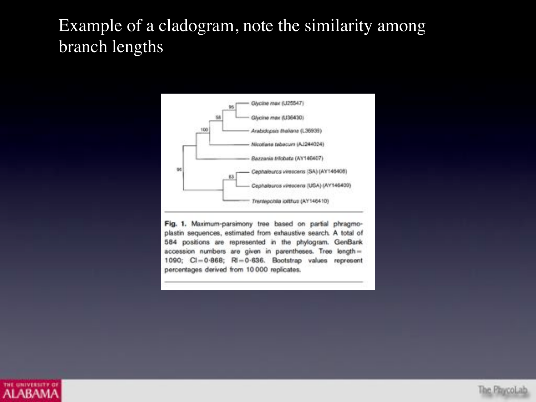#### Example of a cladogram, note the similarity among branch lengths



Fig. 1. Maximum-parsimony tree based on partial phragmoplastin sequences, estimated from exhaustive search. A total of 584 positions are represented in the phylogram. GenBank accession numbers are given in parentheses. Tree length= 1090; CI=0-868; RI=0-636. Bootstrap values represent percentages derived from 10 000 replicates.



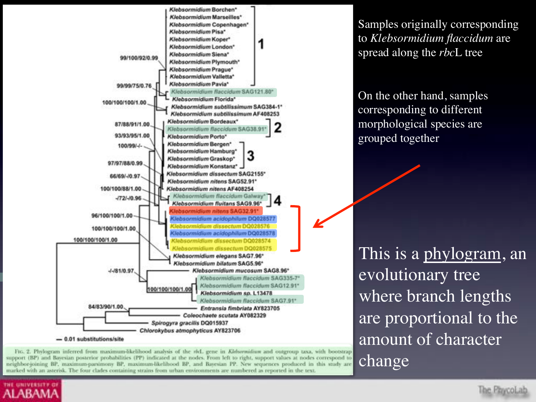

FIG. 2. Phylogram inferred from maximum-likelihood analysis of the rfd. gene in Klebovmidium and outgroup taxa, with bootstrap support (BP) and Bavesian posterior probabilities (PP) indicated at the nodes. From left to right, support values at nodes correspond to neighbor-joining BP, maximum-parsimony BP, maximum-likelihood BP, and Bayesian PP. New sequences produced in this study are marked with an asterisk. The four clades containing strains from urban environments are numbered as reported in the text.

**UNIVERSITY** 

**ALABAMA** 

Samples originally corresponding to *Klebsormidium flaccidum* are spread along the *rbc*L tree

On the other hand, samples corresponding to different morphological species are grouped together

This is a phylogram, an evolutionary tree where branch lengths are proportional to the amount of character change

The PhycoLab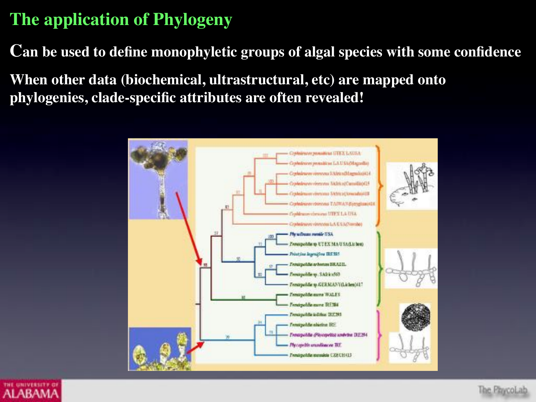#### **The application of Phylogeny**

**Can be used to define monophyletic groups of algal species with some confidence**

**When other data (biochemical, ultrastructural, etc) are mapped onto phylogenies, clade-specific attributes are often revealed!**



**ALABAMA** 

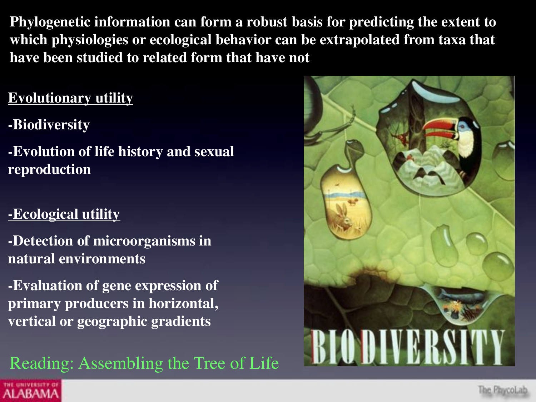**Phylogenetic information can form a robust basis for predicting the extent to which physiologies or ecological behavior can be extrapolated from taxa that have been studied to related form that have not**

#### **Evolutionary utility**

- **-Biodiversity**
- **-Evolution of life history and sexual reproduction**

#### **-Ecological utility**

**ALABAMA** 

- **-Detection of microorganisms in natural environments**
- **-Evaluation of gene expression of primary producers in horizontal, vertical or geographic gradients**

Reading: Assembling the Tree of Life

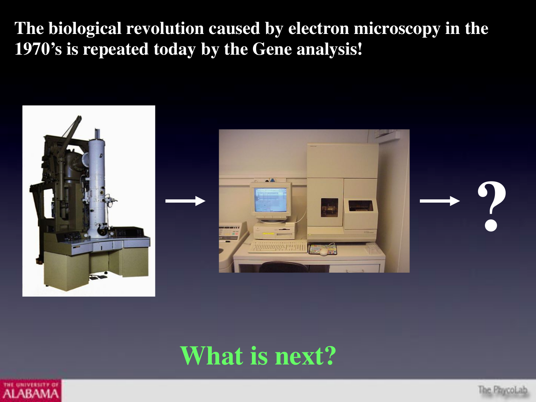#### **The biological revolution caused by electron microscopy in the 1970's is repeated today by the Gene analysis!**



## **What is next?**